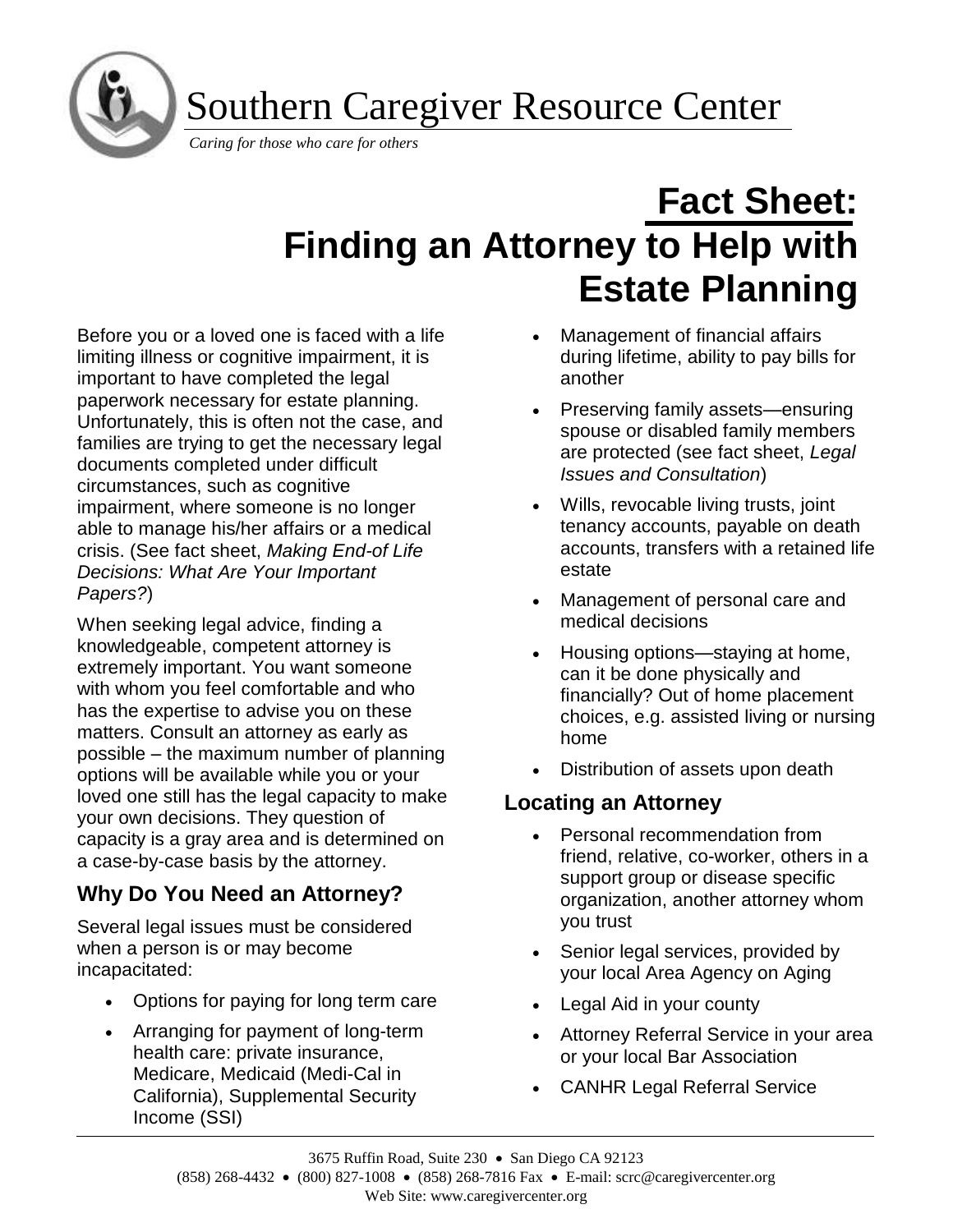Southern Caregiver Resource Center

*Caring for those who care for others* 

j ľ

# **Fact Sheet: Finding an Attorney to Help with Estate Planning**

Before you or a loved one is faced with a life limiting illness or cognitive impairment, it is important to have completed the legal paperwork necessary for estate planning. Unfortunately, this is often not the case, and families are trying to get the necessary legal documents completed under difficult circumstances, such as cognitive impairment, where someone is no longer able to manage his/her affairs or a medical crisis. (See fact sheet, *Making End-of Life Decisions: What Are Your Important Papers?*)

When seeking legal advice, finding a knowledgeable, competent attorney is extremely important. You want someone with whom you feel comfortable and who has the expertise to advise you on these matters. Consult an attorney as early as possible – the maximum number of planning options will be available while you or your loved one still has the legal capacity to make your own decisions. They question of capacity is a gray area and is determined on a case-by-case basis by the attorney.

# **Why Do You Need an Attorney?**

Several legal issues must be considered when a person is or may become incapacitated:

- Options for paying for long term care
- Arranging for payment of long-term health care: private insurance, Medicare, Medicaid (Medi-Cal in California), Supplemental Security Income (SSI)
- Management of financial affairs during lifetime, ability to pay bills for another
- Preserving family assets—ensuring spouse or disabled family members are protected (see fact sheet, *Legal Issues and Consultation*)
- Wills, revocable living trusts, joint tenancy accounts, payable on death accounts, transfers with a retained life estate
- Management of personal care and medical decisions
- Housing options—staying at home, can it be done physically and financially? Out of home placement choices, e.g. assisted living or nursing home
- Distribution of assets upon death

## **Locating an Attorney**

- Personal recommendation from friend, relative, co-worker, others in a support group or disease specific organization, another attorney whom you trust
- Senior legal services, provided by your local Area Agency on Aging
- Legal Aid in your county
- Attorney Referral Service in your area or your local Bar Association
- CANHR Legal Referral Service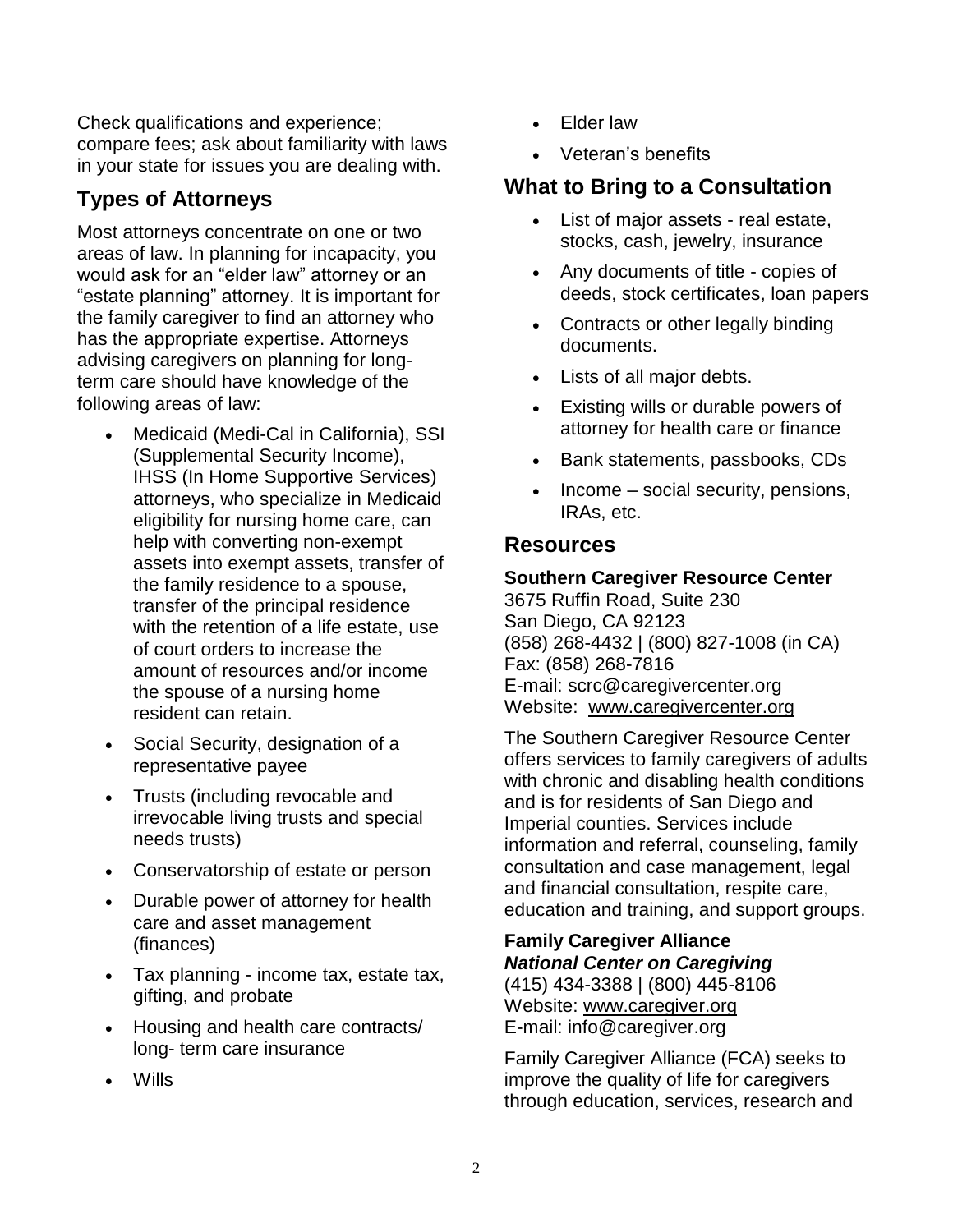Check qualifications and experience; compare fees; ask about familiarity with laws in your state for issues you are dealing with.

### **Types of Attorneys**

Most attorneys concentrate on one or two areas of law. In planning for incapacity, you would ask for an "elder law" attorney or an "estate planning" attorney. It is important for the family caregiver to find an attorney who has the appropriate expertise. Attorneys advising caregivers on planning for longterm care should have knowledge of the following areas of law:

- Medicaid (Medi-Cal in California), SSI (Supplemental Security Income), IHSS (In Home Supportive Services) attorneys, who specialize in Medicaid eligibility for nursing home care, can help with converting non-exempt assets into exempt assets, transfer of the family residence to a spouse, transfer of the principal residence with the retention of a life estate, use of court orders to increase the amount of resources and/or income the spouse of a nursing home resident can retain.
- Social Security, designation of a representative payee
- Trusts (including revocable and irrevocable living trusts and special needs trusts)
- Conservatorship of estate or person
- Durable power of attorney for health care and asset management (finances)
- Tax planning income tax, estate tax, gifting, and probate
- Housing and health care contracts/ long- term care insurance
- Wills
- Elder law
- Veteran's benefits

## **What to Bring to a Consultation**

- List of major assets real estate, stocks, cash, jewelry, insurance
- Any documents of title copies of deeds, stock certificates, loan papers
- Contracts or other legally binding documents.
- Lists of all major debts.
- Existing wills or durable powers of attorney for health care or finance
- Bank statements, passbooks, CDs
- Income social security, pensions, IRAs, etc.

#### **Resources**

#### **Southern Caregiver Resource Center**

3675 Ruffin Road, Suite 230 San Diego, CA 92123 (858) 268-4432 | (800) 827-1008 (in CA) Fax: (858) 268-7816 E-mail: scrc@caregivercenter.org Website: [www.caregivercenter.org](http://www.caregivercenter.org/)

The Southern Caregiver Resource Center offers services to family caregivers of adults with chronic and disabling health conditions and is for residents of San Diego and Imperial counties. Services include information and referral, counseling, family consultation and case management, legal and financial consultation, respite care, education and training, and support groups.

#### **Family Caregiver Alliance** *National Center on Caregiving*

(415) 434-3388 | (800) 445-8106 Website: [www.caregiver.org](http://www.caregiver.org/) E-mail: info@caregiver.org

Family Caregiver Alliance (FCA) seeks to improve the quality of life for caregivers through education, services, research and